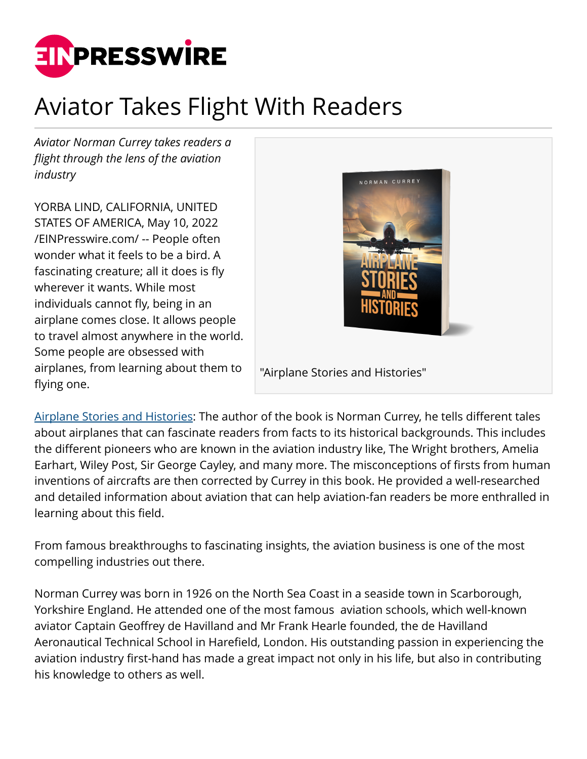

## Aviator Takes Flight With Readers

*Aviator Norman Currey takes readers a flight through the lens of the aviation industry*

YORBA LIND, CALIFORNIA, UNITED STATES OF AMERICA, May 10, 2022 [/EINPresswire.com/](http://www.einpresswire.com) -- People often wonder what it feels to be a bird. A fascinating creature; all it does is fly wherever it wants. While most individuals cannot fly, being in an airplane comes close. It allows people to travel almost anywhere in the world. Some people are obsessed with airplanes, from learning about them to flying one.



[Airplane Stories and Histories](https://www.amazon.com/Airplane-Stories-Histories-Norman-Currey/dp/B09Z7DSLB7/ref=monarch_sidesheet): The author of the book is Norman Currey, he tells different tales about airplanes that can fascinate readers from facts to its historical backgrounds. This includes the different pioneers who are known in the aviation industry like, The Wright brothers, Amelia Earhart, Wiley Post, Sir George Cayley, and many more. The misconceptions of firsts from human inventions of aircrafts are then corrected by Currey in this book. He provided a well-researched and detailed information about aviation that can help aviation-fan readers be more enthralled in learning about this field.

From famous breakthroughs to fascinating insights, the aviation business is one of the most compelling industries out there.

Norman Currey was born in 1926 on the North Sea Coast in a seaside town in Scarborough, Yorkshire England. He attended one of the most famous aviation schools, which well-known aviator Captain Geoffrey de Havilland and Mr Frank Hearle founded, the de Havilland Aeronautical Technical School in Harefield, London. His outstanding passion in experiencing the aviation industry first-hand has made a great impact not only in his life, but also in contributing his knowledge to others as well.